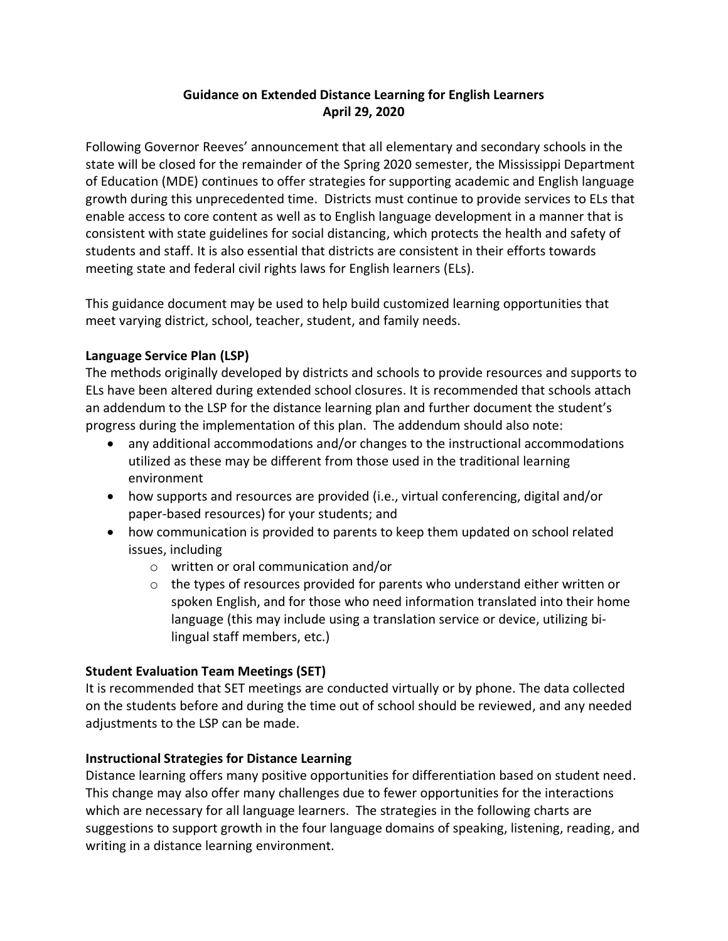# **Guidance on Extended Distance Learning for English Learners April 29, 2020**

Following Governor Reeves' announcement that all elementary and secondary schools in the state will be closed for the remainder of the Spring 2020 semester, the Mississippi Department of Education (MDE) continues to offer strategies for supporting academic and English language growth during this unprecedented time. Districts must continue to provide services to ELs that enable access to core content as well as to English language development in a manner that is consistent with state guidelines for social distancing, which protects the health and safety of students and staff. It is also essential that districts are consistent in their efforts towards meeting state and federal civil rights laws for English learners (ELs).

This guidance document may be used to help build customized learning opportunities that meet varying district, school, teacher, student, and family needs.

## **Language Service Plan (LSP)**

The methods originally developed by districts and schools to provide resources and supports to ELs have been altered during extended school closures. It is recommended that schools attach an addendum to the LSP for the distance learning plan and further document the student's progress during the implementation of this plan. The addendum should also note:

- any additional accommodations and/or changes to the instructional accommodations utilized as these may be different from those used in the traditional learning environment
- how supports and resources are provided (i.e., virtual conferencing, digital and/or paper-based resources) for your students; and
- how communication is provided to parents to keep them updated on school related issues, including
	- o written or oral communication and/or
	- $\circ$  the types of resources provided for parents who understand either written or spoken English, and for those who need information translated into their home language (this may include using a translation service or device, utilizing bilingual staff members, etc.)

## **Student Evaluation Team Meetings (SET)**

It is recommended that SET meetings are conducted virtually or by phone. The data collected on the students before and during the time out of school should be reviewed, and any needed adjustments to the LSP can be made.

## **Instructional Strategies for Distance Learning**

Distance learning offers many positive opportunities for differentiation based on student need. This change may also offer many challenges due to fewer opportunities for the interactions which are necessary for all language learners. The strategies in the following charts are suggestions to support growth in the four language domains of speaking, listening, reading, and writing in a distance learning environment.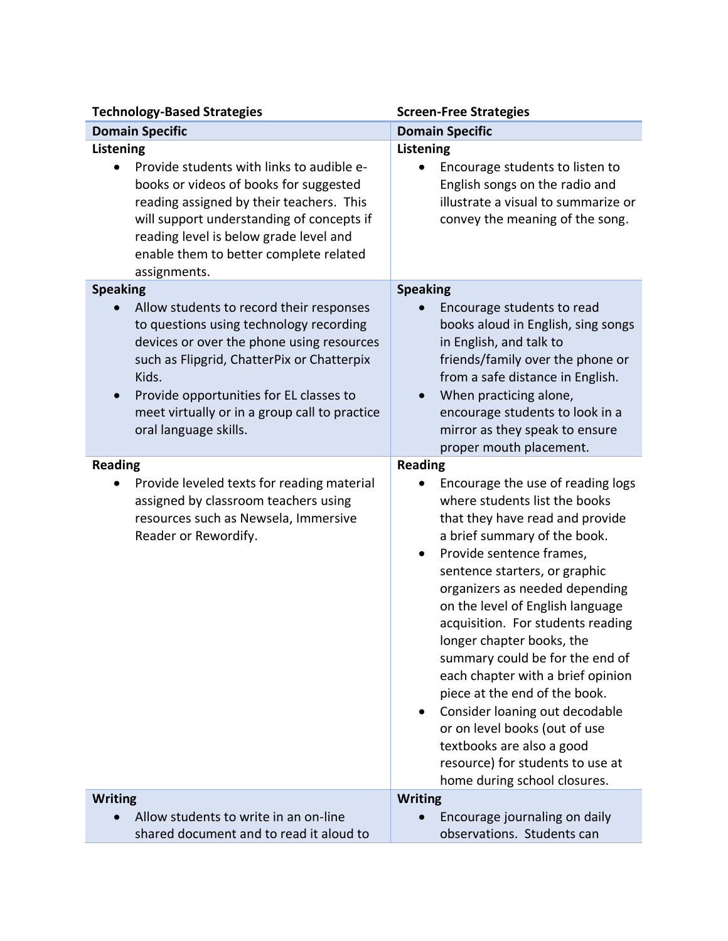| <b>Technology-Based Strategies</b>                                                                                                                                                                                                                                                                                                           | <b>Screen-Free Strategies</b>                                                                                                                                                                                                                                                                                                                                                                                                                                                                                                                                                                                                             |
|----------------------------------------------------------------------------------------------------------------------------------------------------------------------------------------------------------------------------------------------------------------------------------------------------------------------------------------------|-------------------------------------------------------------------------------------------------------------------------------------------------------------------------------------------------------------------------------------------------------------------------------------------------------------------------------------------------------------------------------------------------------------------------------------------------------------------------------------------------------------------------------------------------------------------------------------------------------------------------------------------|
| <b>Domain Specific</b>                                                                                                                                                                                                                                                                                                                       | <b>Domain Specific</b>                                                                                                                                                                                                                                                                                                                                                                                                                                                                                                                                                                                                                    |
| Listening<br>Provide students with links to audible e-<br>books or videos of books for suggested<br>reading assigned by their teachers. This<br>will support understanding of concepts if<br>reading level is below grade level and<br>enable them to better complete related<br>assignments.                                                | Listening<br>Encourage students to listen to<br>English songs on the radio and<br>illustrate a visual to summarize or<br>convey the meaning of the song.                                                                                                                                                                                                                                                                                                                                                                                                                                                                                  |
| <b>Speaking</b><br>Allow students to record their responses<br>to questions using technology recording<br>devices or over the phone using resources<br>such as Flipgrid, ChatterPix or Chatterpix<br>Kids.<br>Provide opportunities for EL classes to<br>$\bullet$<br>meet virtually or in a group call to practice<br>oral language skills. | <b>Speaking</b><br>Encourage students to read<br>books aloud in English, sing songs<br>in English, and talk to<br>friends/family over the phone or<br>from a safe distance in English.<br>When practicing alone,<br>encourage students to look in a<br>mirror as they speak to ensure<br>proper mouth placement.                                                                                                                                                                                                                                                                                                                          |
| <b>Reading</b><br>Provide leveled texts for reading material<br>assigned by classroom teachers using<br>resources such as Newsela, Immersive<br>Reader or Rewordify.                                                                                                                                                                         | <b>Reading</b><br>Encourage the use of reading logs<br>where students list the books<br>that they have read and provide<br>a brief summary of the book.<br>Provide sentence frames,<br>sentence starters, or graphic<br>organizers as needed depending<br>on the level of English language<br>acquisition. For students reading<br>longer chapter books, the<br>summary could be for the end of<br>each chapter with a brief opinion<br>piece at the end of the book.<br>Consider loaning out decodable<br>or on level books (out of use<br>textbooks are also a good<br>resource) for students to use at<br>home during school closures. |
| <b>Writing</b><br>Allow students to write in an on-line<br>shared document and to read it aloud to                                                                                                                                                                                                                                           | <b>Writing</b><br>Encourage journaling on daily<br>observations. Students can                                                                                                                                                                                                                                                                                                                                                                                                                                                                                                                                                             |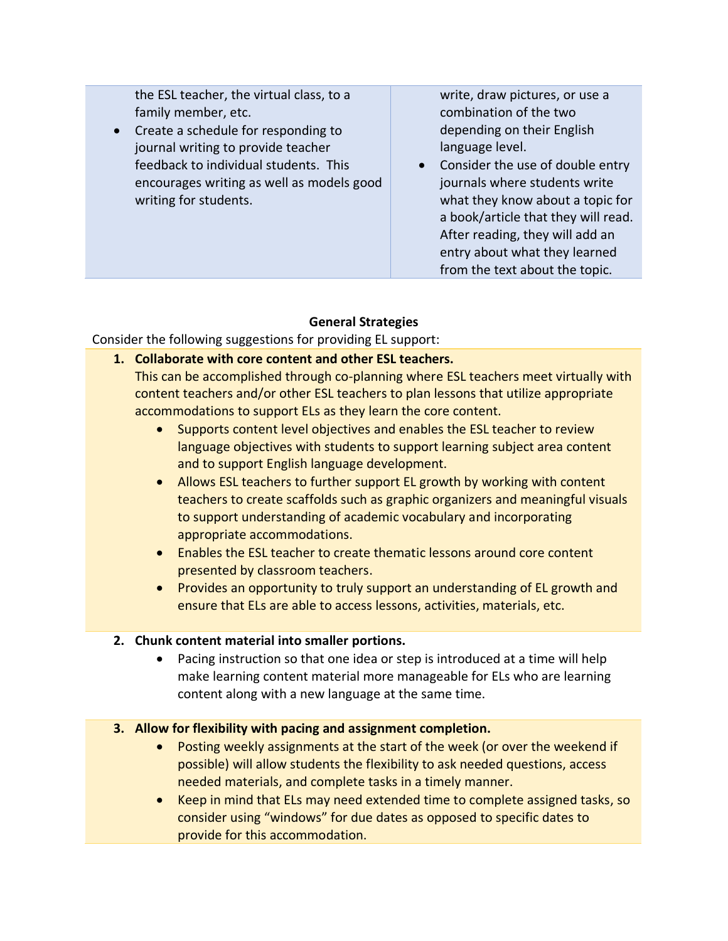the ESL teacher, the virtual class, to a family member, etc.

• Create a schedule for responding to journal writing to provide teacher feedback to individual students. This encourages writing as well as models good writing for students.

write, draw pictures, or use a combination of the two depending on their English language level.

• Consider the use of double entry journals where students write what they know about a topic for a book/article that they will read. After reading, they will add an entry about what they learned from the text about the topic.

# **General Strategies**

Consider the following suggestions for providing EL support:

**1. Collaborate with core content and other ESL teachers.** 

This can be accomplished through co-planning where ESL teachers meet virtually with content teachers and/or other ESL teachers to plan lessons that utilize appropriate accommodations to support ELs as they learn the core content.

- Supports content level objectives and enables the ESL teacher to review language objectives with students to support learning subject area content and to support English language development.
- Allows ESL teachers to further support EL growth by working with content teachers to create scaffolds such as graphic organizers and meaningful visuals to support understanding of academic vocabulary and incorporating appropriate accommodations.
- Enables the ESL teacher to create thematic lessons around core content presented by classroom teachers.
- Provides an opportunity to truly support an understanding of EL growth and ensure that ELs are able to access lessons, activities, materials, etc.

## **2. Chunk content material into smaller portions.**

• Pacing instruction so that one idea or step is introduced at a time will help make learning content material more manageable for ELs who are learning content along with a new language at the same time.

## **3. Allow for flexibility with pacing and assignment completion.**

- Posting weekly assignments at the start of the week (or over the weekend if possible) will allow students the flexibility to ask needed questions, access needed materials, and complete tasks in a timely manner.
- Keep in mind that ELs may need extended time to complete assigned tasks, so consider using "windows" for due dates as opposed to specific dates to provide for this accommodation.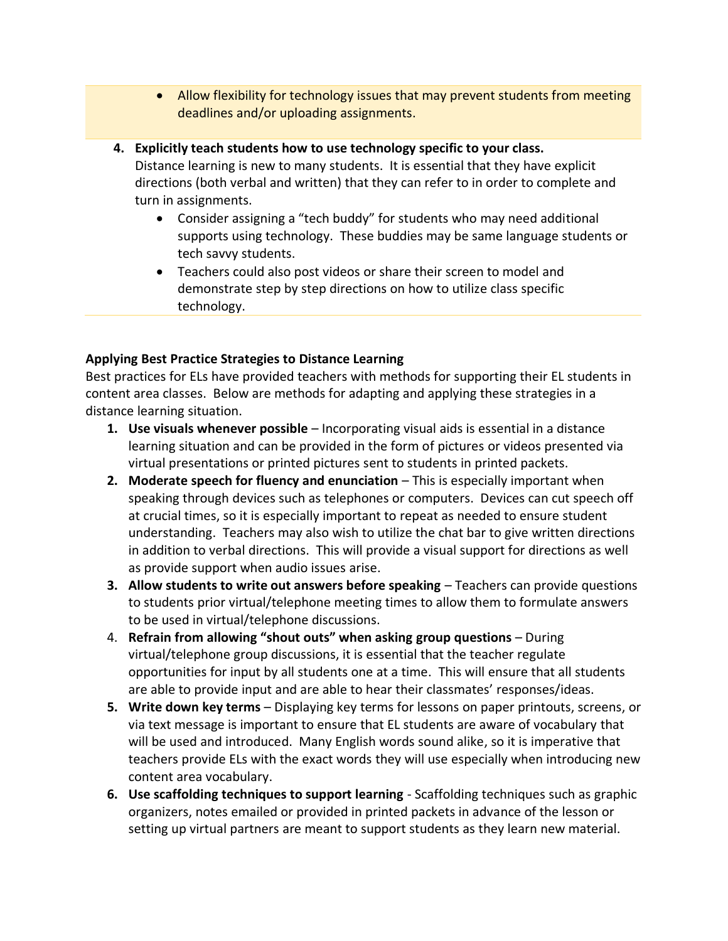- Allow flexibility for technology issues that may prevent students from meeting deadlines and/or uploading assignments.
- **4. Explicitly teach students how to use technology specific to your class.**

Distance learning is new to many students. It is essential that they have explicit directions (both verbal and written) that they can refer to in order to complete and turn in assignments.

- Consider assigning a "tech buddy" for students who may need additional supports using technology. These buddies may be same language students or tech savvy students.
- Teachers could also post videos or share their screen to model and demonstrate step by step directions on how to utilize class specific technology.

#### **Applying Best Practice Strategies to Distance Learning**

Best practices for ELs have provided teachers with methods for supporting their EL students in content area classes. Below are methods for adapting and applying these strategies in a distance learning situation.

- **1. Use visuals whenever possible** Incorporating visual aids is essential in a distance learning situation and can be provided in the form of pictures or videos presented via virtual presentations or printed pictures sent to students in printed packets.
- **2.** Moderate speech for fluency and enunciation This is especially important when speaking through devices such as telephones or computers. Devices can cut speech off at crucial times, so it is especially important to repeat as needed to ensure student understanding. Teachers may also wish to utilize the chat bar to give written directions in addition to verbal directions. This will provide a visual support for directions as well as provide support when audio issues arise.
- **3. Allow students to write out answers before speaking** Teachers can provide questions to students prior virtual/telephone meeting times to allow them to formulate answers to be used in virtual/telephone discussions.
- 4. **Refrain from allowing "shout outs" when asking group questions** During virtual/telephone group discussions, it is essential that the teacher regulate opportunities for input by all students one at a time. This will ensure that all students are able to provide input and are able to hear their classmates' responses/ideas.
- **5. Write down key terms**  Displaying key terms for lessons on paper printouts, screens, or via text message is important to ensure that EL students are aware of vocabulary that will be used and introduced. Many English words sound alike, so it is imperative that teachers provide ELs with the exact words they will use especially when introducing new content area vocabulary.
- **6. Use scaffolding techniques to support learning** Scaffolding techniques such as graphic organizers, notes emailed or provided in printed packets in advance of the lesson or setting up virtual partners are meant to support students as they learn new material.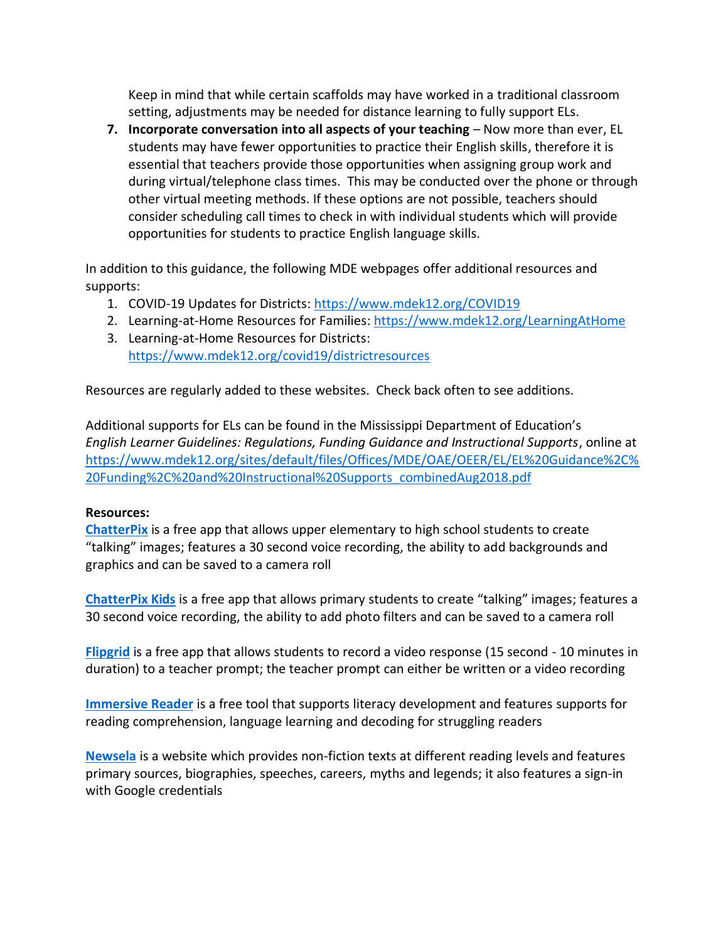Keep in mind that while certain scaffolds may have worked in a traditional classroom setting, adjustments may be needed for distance learning to fully support ELs.

**7. Incorporate conversation into all aspects of your teaching** – Now more than ever, EL students may have fewer opportunities to practice their English skills, therefore it is essential that teachers provide those opportunities when assigning group work and during virtual/telephone class times. This may be conducted over the phone or through other virtual meeting methods. If these options are not possible, teachers should consider scheduling call times to check in with individual students which will provide opportunities for students to practice English language skills.

In addition to this guidance, the following MDE webpages offer additional resources and supports:

- 1. COVID-19 Updates for Districts: <https://www.mdek12.org/COVID19>
- 2. Learning-at-Home Resources for Families: <https://www.mdek12.org/LearningAtHome>
- 3. Learning-at-Home Resources for Districts: <https://www.mdek12.org/covid19/districtresources>

Resources are regularly added to these websites. Check back often to see additions.

Additional supports for ELs can be found in the Mississippi Department of Education's *English Learner Guidelines: Regulations, Funding Guidance and Instructional Supports*, online at [https://www.mdek12.org/sites/default/files/Offices/MDE/OAE/OEER/EL/EL%20Guidance%2C%](https://www.mdek12.org/sites/default/files/Offices/MDE/OAE/OEER/EL/EL%20Guidance%2C%20Funding%2C%20and%20Instructional%20Supports_combinedAug2018.pdf) [20Funding%2C%20and%20Instructional%20Supports\\_combinedAug2018.pdf](https://www.mdek12.org/sites/default/files/Offices/MDE/OAE/OEER/EL/EL%20Guidance%2C%20Funding%2C%20and%20Instructional%20Supports_combinedAug2018.pdf)

#### **Resources:**

**[ChatterPix](http://www.duckduckmoose.com/educational-iphone-itouch-apps-for-kids/chatterpix/)** is a free app that allows upper elementary to high school students to create "talking" images; features a 30 second voice recording, the ability to add backgrounds and graphics and can be saved to a camera roll

**[ChatterPix Kids](http://www.duckduckmoose.com/educational-iphone-itouch-apps-for-kids/chatterpixkids/)** is a free app that allows primary students to create "talking" images; features a 30 second voice recording, the ability to add photo filters and can be saved to a camera roll

**[Flipgrid](https://info.flipgrid.com/)** is a free app that allows students to record a video response (15 second - 10 minutes in duration) to a teacher prompt; the teacher prompt can either be written or a video recording

**[Immersive Reader](https://www.microsoft.com/en-us/p/immersive-reader-offline-extension/9pjzqz821dq2?activetab=pivot:overviewtab)** is a free tool that supports literacy development and features supports for reading comprehension, language learning and decoding for struggling readers

**[Newsela](https://newsela.com/)** is a website which provides non-fiction texts at different reading levels and features primary sources, biographies, speeches, careers, myths and legends; it also features a sign-in with Google credentials